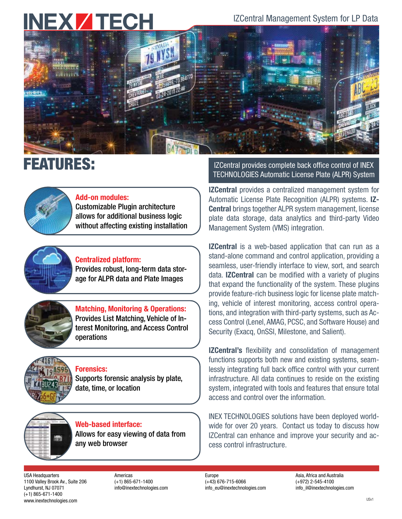# **INEXZTECH**

IZCentral Management System for LP Data



## FEATURES:



### Add-on modules:

Customizable Plugin architecture allows for additional business logic without affecting existing installation



## Centralized platform:

Provides robust, long-term data storage for ALPR data and Plate Images



### Matching, Monitoring & Operations: Provides List Matching, Vehicle of Interest Monitoring, and Access Control operations



## Forensics:

Supports forensic analysis by plate, date, time, or location

Web-based interface: Allows for easy viewing of data from any web browser

IZCentral provides complete back office control of INEX TECHNOLOGIES Automatic License Plate (ALPR) System

**IZCentral** provides a centralized management system for Automatic License Plate Recognition (ALPR) systems. IZ-Central brings together ALPR system management, license plate data storage, data analytics and third-party Video Management System (VMS) integration.

**IZCentral** is a web-based application that can run as a stand-alone command and control application, providing a seamless, user-friendly interface to view, sort, and search data. IZCentral can be modified with a variety of plugins that expand the functionality of the system. These plugins provide feature-rich business logic for license plate matching, vehicle of interest monitoring, access control operations, and integration with third-party systems, such as Access Control (Lenel, AMAG, PCSC, and Software House) and Security (Exacq, OnSSI, Milestone, and Salient).

**IZCentral's** flexibility and consolidation of management functions supports both new and existing systems, seamlessly integrating full back office control with your current infrastructure. All data continues to reside on the existing system, integrated with tools and features that ensure total access and control over the information.

INEX TECHNOLOGIES solutions have been deployed worldwide for over 20 years. Contact us today to discuss how IZCentral can enhance and improve your security and access control infrastructure.

USA Headquarters 1100 Valley Brook Av., Suite 206 Lyndhurst, NJ 07071 (+1) 865-671-1400 www.inextechnologies.com

Americas (+1) 865-671-1400 info@inextechnologies.com

#### Europe (+43) 676-715-6066 info\_eu@inextechnologies.com

Asia, Africa and Australia (+972) 2-545-4100 info\_il@inextechnologies.com